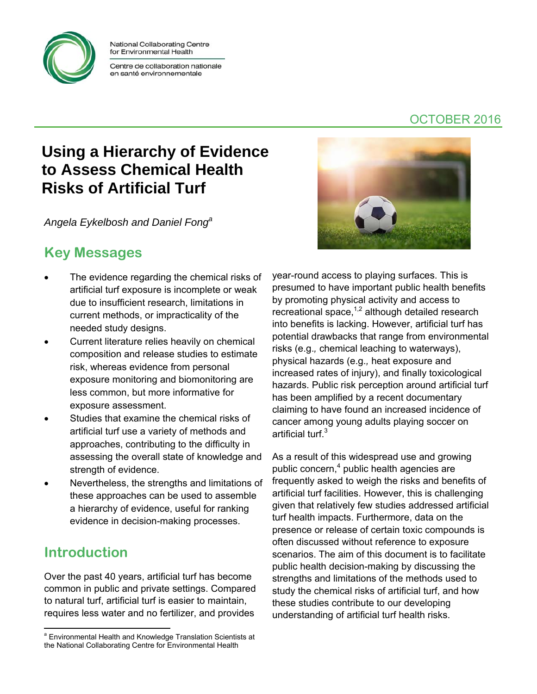

National Collaborating Centre for Environmental Health

Centre de collaboration nationale en santé environnementale

## **Using a Hierarchy of Evidence to Assess Chemical Health Risks of Artificial Turf**

*Angela Eykelbosh and Daniel Fonga*

## **Key Messages**

- The evidence regarding the chemical risks of artificial turf exposure is incomplete or weak due to insufficient research, limitations in current methods, or impracticality of the needed study designs.
- Current literature relies heavily on chemical composition and release studies to estimate risk, whereas evidence from personal exposure monitoring and biomonitoring are less common, but more informative for exposure assessment.
- Studies that examine the chemical risks of artificial turf use a variety of methods and approaches, contributing to the difficulty in assessing the overall state of knowledge and strength of evidence.
- Nevertheless, the strengths and limitations of these approaches can be used to assemble a hierarchy of evidence, useful for ranking evidence in decision-making processes.

## **Introduction**

Over the past 40 years, artificial turf has become common in public and private settings. Compared to natural turf, artificial turf is easier to maintain, requires less water and no fertilizer, and provides

#### year-round access to playing surfaces. This is presumed to have important public health benefits by promoting physical activity and access to recreational space, $1,2$  although detailed research into benefits is lacking. However, artificial turf has potential drawbacks that range from environmental risks (e.g.*,* chemical leaching to waterways), physical hazards (e.g.*,* heat exposure and increased rates of injury), and finally toxicological hazards. Public risk perception around artificial turf has been amplified by a recent documentary claiming to have found an increased incidence of cancer among young adults playing soccer on artificial turf.<sup>3</sup>

As a result of this widespread use and growing public concern,<sup>4</sup> public health agencies are frequently asked to weigh the risks and benefits of artificial turf facilities. However, this is challenging given that relatively few studies addressed artificial turf health impacts. Furthermore, data on the presence or release of certain toxic compounds is often discussed without reference to exposure scenarios. The aim of this document is to facilitate public health decision-making by discussing the strengths and limitations of the methods used to study the chemical risks of artificial turf, and how these studies contribute to our developing understanding of artificial turf health risks.



 <sup>a</sup> Environmental Health and Knowledge Translation Scientists at the National Collaborating Centre for Environmental Health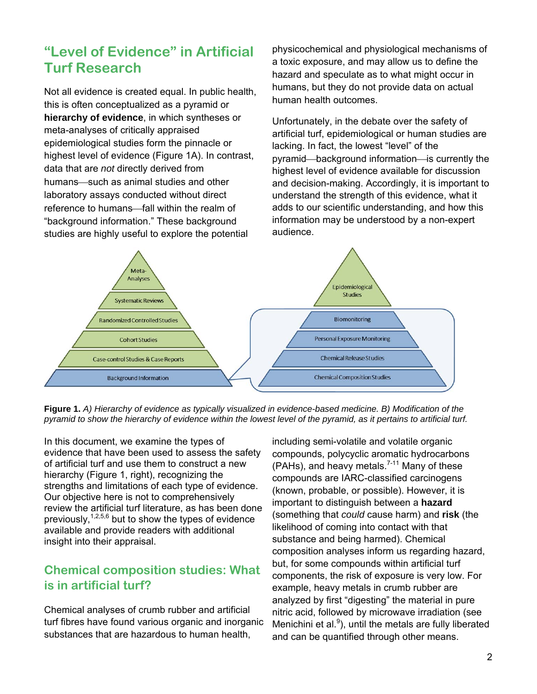## **"Level of Evidence" in Artificial Turf Research**

Not all evidence is created equal. In public health, this is often conceptualized as a pyramid or **hierarchy of evidence**, in which syntheses or meta-analyses of critically appraised epidemiological studies form the pinnacle or highest level of evidence (Figure 1A). In contrast, data that are *not* directly derived from humans-such as animal studies and other laboratory assays conducted without direct reference to humans-fall within the realm of "background information." These background studies are highly useful to explore the potential

physicochemical and physiological mechanisms of a toxic exposure, and may allow us to define the hazard and speculate as to what might occur in humans, but they do not provide data on actual human health outcomes.

Unfortunately, in the debate over the safety of artificial turf, epidemiological or human studies are lacking. In fact, the lowest "level" of the pyramid—background information—is currently the highest level of evidence available for discussion and decision-making. Accordingly, it is important to understand the strength of this evidence, what it adds to our scientific understanding, and how this information may be understood by a non-expert audience.



**Figure 1.** *A) Hierarchy of evidence as typically visualized in evidence-based medicine. B) Modification of the pyramid to show the hierarchy of evidence within the lowest level of the pyramid, as it pertains to artificial turf.*

In this document, we examine the types of evidence that have been used to assess the safety of artificial turf and use them to construct a new hierarchy (Figure 1, right), recognizing the strengths and limitations of each type of evidence. Our objective here is not to comprehensively review the artificial turf literature, as has been done previously,  $1,2,5,6$  but to show the types of evidence available and provide readers with additional insight into their appraisal.

#### **Chemical composition studies: What is in artificial turf?**

Chemical analyses of crumb rubber and artificial turf fibres have found various organic and inorganic substances that are hazardous to human health,

including semi-volatile and volatile organic compounds, polycyclic aromatic hydrocarbons (PAHs), and heavy metals.<sup>7-11</sup> Many of these compounds are IARC-classified carcinogens (known, probable, or possible). However, it is important to distinguish between a **hazard** (something that *could* cause harm) and **risk** (the likelihood of coming into contact with that substance and being harmed). Chemical composition analyses inform us regarding hazard, but, for some compounds within artificial turf components, the risk of exposure is very low. For example, heavy metals in crumb rubber are analyzed by first "digesting" the material in pure nitric acid, followed by microwave irradiation (see Menichini et al. $9$ ), until the metals are fully liberated and can be quantified through other means.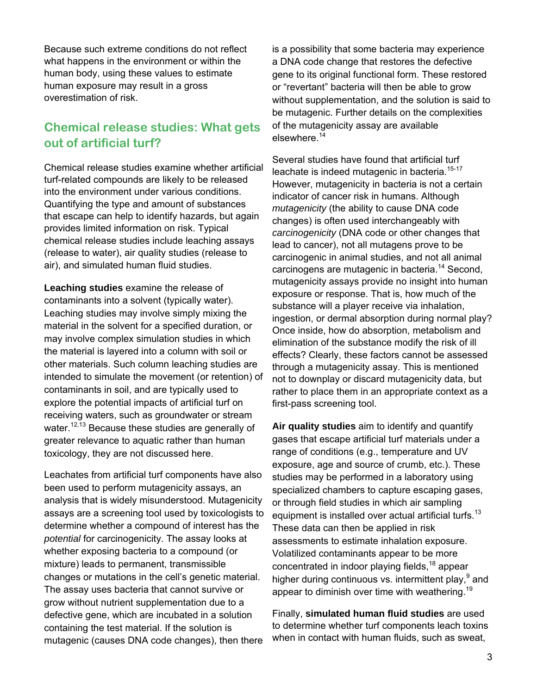Because such extreme conditions do not reflect what happens in the environment or within the human body, using these values to estimate human exposure may result in a gross overestimation of risk.

#### **Chemical release studies: What gets out of artificial turf?**

Chemical release studies examine whether artificial turf-related compounds are likely to be released into the environment under various conditions. Quantifying the type and amount of substances that escape can help to identify hazards, but again provides limited information on risk. Typical chemical release studies include leaching assays (release to water), air quality studies (release to air), and simulated human fluid studies.

**Leaching studies** examine the release of contaminants into a solvent (typically water). Leaching studies may involve simply mixing the material in the solvent for a specified duration, or may involve complex simulation studies in which the material is layered into a column with soil or other materials. Such column leaching studies are intended to simulate the movement (or retention) of contaminants in soil, and are typically used to explore the potential impacts of artificial turf on receiving waters, such as groundwater or stream water.<sup>12,13</sup> Because these studies are generally of greater relevance to aquatic rather than human toxicology, they are not discussed here.

Leachates from artificial turf components have also been used to perform mutagenicity assays, an analysis that is widely misunderstood. Mutagenicity assays are a screening tool used by toxicologists to determine whether a compound of interest has the *potential* for carcinogenicity. The assay looks at whether exposing bacteria to a compound (or mixture) leads to permanent, transmissible changes or mutations in the cell's genetic material. The assay uses bacteria that cannot survive or grow without nutrient supplementation due to a defective gene, which are incubated in a solution containing the test material. If the solution is mutagenic (causes DNA code changes), then there

is a possibility that some bacteria may experience a DNA code change that restores the defective gene to its original functional form. These restored or "revertant" bacteria will then be able to grow without supplementation, and the solution is said to be mutagenic. Further details on the complexities of the mutagenicity assay are available elsewhere.<sup>14</sup>

Several studies have found that artificial turf leachate is indeed mutagenic in bacteria.<sup>15-17</sup> However, mutagenicity in bacteria is not a certain indicator of cancer risk in humans. Although *mutagenicity* (the ability to cause DNA code changes) is often used interchangeably with *carcinogenicity* (DNA code or other changes that lead to cancer), not all mutagens prove to be carcinogenic in animal studies, and not all animal carcinogens are mutagenic in bacteria.14 Second, mutagenicity assays provide no insight into human exposure or response. That is, how much of the substance will a player receive via inhalation, ingestion, or dermal absorption during normal play? Once inside, how do absorption, metabolism and elimination of the substance modify the risk of ill effects? Clearly, these factors cannot be assessed through a mutagenicity assay. This is mentioned not to downplay or discard mutagenicity data, but rather to place them in an appropriate context as a first-pass screening tool.

**Air quality studies** aim to identify and quantify gases that escape artificial turf materials under a range of conditions (e.g., temperature and UV exposure, age and source of crumb, etc.). These studies may be performed in a laboratory using specialized chambers to capture escaping gases, or through field studies in which air sampling equipment is installed over actual artificial turfs.<sup>13</sup> These data can then be applied in risk assessments to estimate inhalation exposure. Volatilized contaminants appear to be more concentrated in indoor playing fields,18 appear higher during continuous vs. intermittent play, $9$  and appear to diminish over time with weathering.<sup>19</sup>

Finally, **simulated human fluid studies** are used to determine whether turf components leach toxins when in contact with human fluids, such as sweat,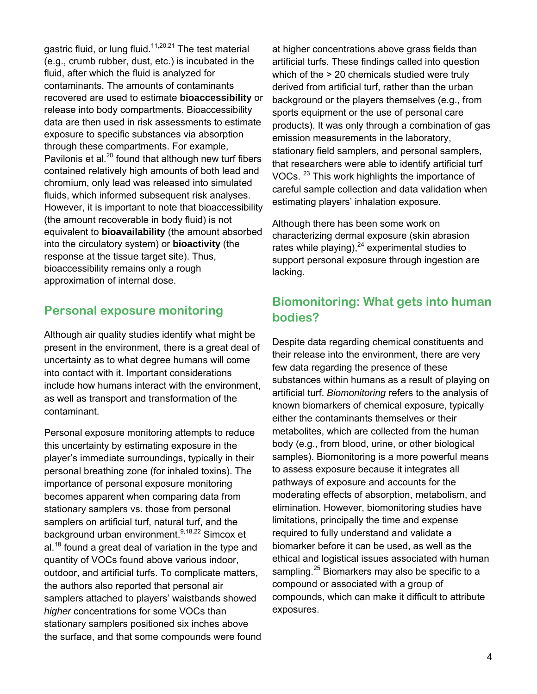gastric fluid, or lung fluid.<sup>11,20,21</sup> The test material (e.g., crumb rubber, dust, etc.) is incubated in the fluid, after which the fluid is analyzed for contaminants. The amounts of contaminants recovered are used to estimate **bioaccessibility** or release into body compartments. Bioaccessibility data are then used in risk assessments to estimate exposure to specific substances via absorption through these compartments. For example, Pavilonis et al. $^{20}$  found that although new turf fibers contained relatively high amounts of both lead and chromium, only lead was released into simulated fluids, which informed subsequent risk analyses. However, it is important to note that bioaccessibility (the amount recoverable in body fluid) is not equivalent to **bioavailability** (the amount absorbed into the circulatory system) or **bioactivity** (the response at the tissue target site). Thus, bioaccessibility remains only a rough approximation of internal dose.

#### **Personal exposure monitoring**

Although air quality studies identify what might be present in the environment, there is a great deal of uncertainty as to what degree humans will come into contact with it. Important considerations include how humans interact with the environment, as well as transport and transformation of the contaminant.

Personal exposure monitoring attempts to reduce this uncertainty by estimating exposure in the player's immediate surroundings, typically in their personal breathing zone (for inhaled toxins). The importance of personal exposure monitoring becomes apparent when comparing data from stationary samplers vs. those from personal samplers on artificial turf, natural turf, and the background urban environment.<sup>9,18,22</sup> Simcox et  $al.^{18}$  found a great deal of variation in the type and quantity of VOCs found above various indoor, outdoor, and artificial turfs. To complicate matters, the authors also reported that personal air samplers attached to players' waistbands showed *higher* concentrations for some VOCs than stationary samplers positioned six inches above the surface, and that some compounds were found at higher concentrations above grass fields than artificial turfs. These findings called into question which of the  $> 20$  chemicals studied were truly derived from artificial turf, rather than the urban background or the players themselves (e.g., from sports equipment or the use of personal care products). It was only through a combination of gas emission measurements in the laboratory, stationary field samplers, and personal samplers, that researchers were able to identify artificial turf VOCs. 23 This work highlights the importance of careful sample collection and data validation when estimating players' inhalation exposure.

Although there has been some work on characterizing dermal exposure (skin abrasion rates while playing), $^{24}$  experimental studies to support personal exposure through ingestion are lacking.

#### **Biomonitoring: What gets into human bodies?**

Despite data regarding chemical constituents and their release into the environment, there are very few data regarding the presence of these substances within humans as a result of playing on artificial turf. *Biomonitoring* refers to the analysis of known biomarkers of chemical exposure, typically either the contaminants themselves or their metabolites, which are collected from the human body (e.g., from blood, urine, or other biological samples). Biomonitoring is a more powerful means to assess exposure because it integrates all pathways of exposure and accounts for the moderating effects of absorption, metabolism, and elimination. However, biomonitoring studies have limitations, principally the time and expense required to fully understand and validate a biomarker before it can be used, as well as the ethical and logistical issues associated with human sampling.<sup>25</sup> Biomarkers may also be specific to a compound or associated with a group of compounds, which can make it difficult to attribute exposures.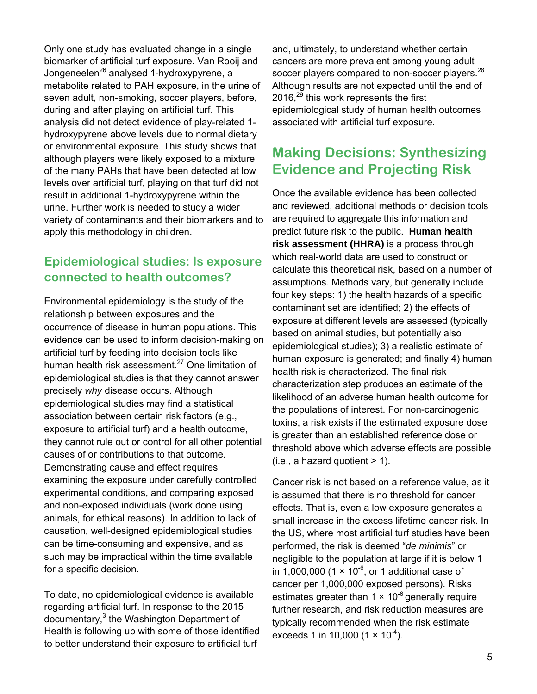Only one study has evaluated change in a single biomarker of artificial turf exposure. Van Rooij and Jongeneelen<sup>26</sup> analysed 1-hydroxypyrene, a metabolite related to PAH exposure, in the urine of seven adult, non-smoking, soccer players, before, during and after playing on artificial turf. This analysis did not detect evidence of play-related 1 hydroxypyrene above levels due to normal dietary or environmental exposure. This study shows that although players were likely exposed to a mixture of the many PAHs that have been detected at low levels over artificial turf, playing on that turf did not result in additional 1-hydroxypyrene within the urine. Further work is needed to study a wider variety of contaminants and their biomarkers and to apply this methodology in children.

#### **Epidemiological studies: Is exposure connected to health outcomes?**

Environmental epidemiology is the study of the relationship between exposures and the occurrence of disease in human populations. This evidence can be used to inform decision-making on artificial turf by feeding into decision tools like human health risk assessment.<sup>27</sup> One limitation of epidemiological studies is that they cannot answer precisely *why* disease occurs. Although epidemiological studies may find a statistical association between certain risk factors (e.g., exposure to artificial turf) and a health outcome, they cannot rule out or control for all other potential causes of or contributions to that outcome. Demonstrating cause and effect requires examining the exposure under carefully controlled experimental conditions, and comparing exposed and non-exposed individuals (work done using animals, for ethical reasons). In addition to lack of causation, well-designed epidemiological studies can be time-consuming and expensive, and as such may be impractical within the time available for a specific decision.

To date, no epidemiological evidence is available regarding artificial turf. In response to the 2015 documentary,<sup>3</sup> the Washington Department of Health is following up with some of those identified to better understand their exposure to artificial turf

and, ultimately, to understand whether certain cancers are more prevalent among young adult soccer players compared to non-soccer players.<sup>28</sup> Although results are not expected until the end of 2016.<sup>29</sup> this work represents the first epidemiological study of human health outcomes associated with artificial turf exposure.

### **Making Decisions: Synthesizing Evidence and Projecting Risk**

Once the available evidence has been collected and reviewed, additional methods or decision tools are required to aggregate this information and predict future risk to the public. **Human health risk assessment (HHRA)** is a process through which real-world data are used to construct or calculate this theoretical risk, based on a number of assumptions. Methods vary, but generally include four key steps: 1) the health hazards of a specific contaminant set are identified; 2) the effects of exposure at different levels are assessed (typically based on animal studies, but potentially also epidemiological studies); 3) a realistic estimate of human exposure is generated; and finally 4) human health risk is characterized. The final risk characterization step produces an estimate of the likelihood of an adverse human health outcome for the populations of interest. For non-carcinogenic toxins, a risk exists if the estimated exposure dose is greater than an established reference dose or threshold above which adverse effects are possible  $(i.e., a hazard quotient > 1).$ 

Cancer risk is not based on a reference value, as it is assumed that there is no threshold for cancer effects. That is, even a low exposure generates a small increase in the excess lifetime cancer risk. In the US, where most artificial turf studies have been performed, the risk is deemed "*de minimis*" or negligible to the population at large if it is below 1 in 1,000,000 (1  $\times$  10<sup>-6</sup>, or 1 additional case of cancer per 1,000,000 exposed persons). Risks estimates greater than  $1 \times 10^{-6}$  generally require further research, and risk reduction measures are typically recommended when the risk estimate exceeds 1 in 10,000  $(1 \times 10^{-4})$ .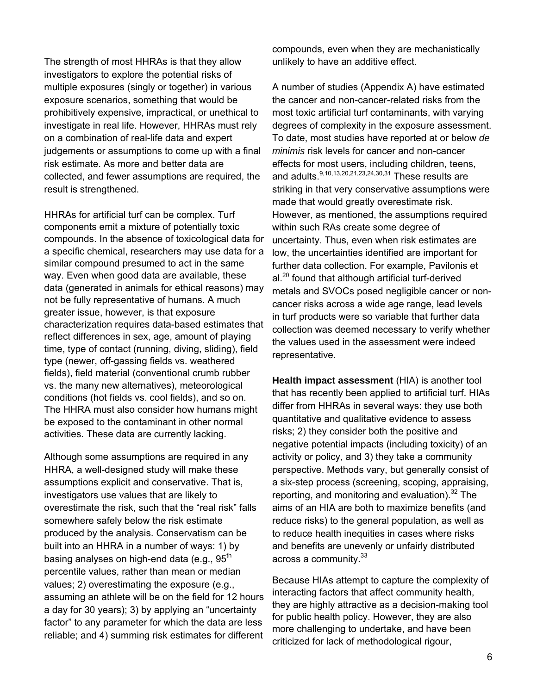The strength of most HHRAs is that they allow investigators to explore the potential risks of multiple exposures (singly or together) in various exposure scenarios, something that would be prohibitively expensive, impractical, or unethical to investigate in real life. However, HHRAs must rely on a combination of real-life data and expert judgements or assumptions to come up with a final risk estimate. As more and better data are collected, and fewer assumptions are required, the result is strengthened.

HHRAs for artificial turf can be complex. Turf components emit a mixture of potentially toxic compounds. In the absence of toxicological data for a specific chemical, researchers may use data for a similar compound presumed to act in the same way. Even when good data are available, these data (generated in animals for ethical reasons) may not be fully representative of humans. A much greater issue, however, is that exposure characterization requires data-based estimates that reflect differences in sex, age, amount of playing time, type of contact (running, diving, sliding), field type (newer, off-gassing fields vs. weathered fields), field material (conventional crumb rubber vs. the many new alternatives), meteorological conditions (hot fields vs. cool fields), and so on. The HHRA must also consider how humans might be exposed to the contaminant in other normal activities. These data are currently lacking.

Although some assumptions are required in any HHRA, a well-designed study will make these assumptions explicit and conservative. That is, investigators use values that are likely to overestimate the risk, such that the "real risk" falls somewhere safely below the risk estimate produced by the analysis. Conservatism can be built into an HHRA in a number of ways: 1) by basing analyses on high-end data (e.g.,  $95<sup>th</sup>$ percentile values, rather than mean or median values; 2) overestimating the exposure (e.g., assuming an athlete will be on the field for 12 hours a day for 30 years); 3) by applying an "uncertainty factor" to any parameter for which the data are less reliable; and 4) summing risk estimates for different compounds, even when they are mechanistically unlikely to have an additive effect.

A number of studies (Appendix A) have estimated the cancer and non-cancer-related risks from the most toxic artificial turf contaminants, with varying degrees of complexity in the exposure assessment. To date, most studies have reported at or below *de minimis* risk levels for cancer and non-cancer effects for most users, including children, teens, and adults.  $9,10,13,20,21,23,24,30,31$  These results are striking in that very conservative assumptions were made that would greatly overestimate risk. However, as mentioned, the assumptions required within such RAs create some degree of uncertainty. Thus, even when risk estimates are low, the uncertainties identified are important for further data collection. For example, Pavilonis et  $al.<sup>20</sup>$  found that although artificial turf-derived metals and SVOCs posed negligible cancer or noncancer risks across a wide age range, lead levels in turf products were so variable that further data collection was deemed necessary to verify whether the values used in the assessment were indeed representative.

**Health impact assessment** (HIA) is another tool that has recently been applied to artificial turf. HIAs differ from HHRAs in several ways: they use both quantitative and qualitative evidence to assess risks; 2) they consider both the positive and negative potential impacts (including toxicity) of an activity or policy, and 3) they take a community perspective. Methods vary, but generally consist of a six-step process (screening, scoping, appraising, reporting, and monitoring and evaluation). $32$  The aims of an HIA are both to maximize benefits (and reduce risks) to the general population, as well as to reduce health inequities in cases where risks and benefits are unevenly or unfairly distributed across a community.<sup>33</sup>

Because HIAs attempt to capture the complexity of interacting factors that affect community health, they are highly attractive as a decision-making tool for public health policy. However, they are also more challenging to undertake, and have been criticized for lack of methodological rigour,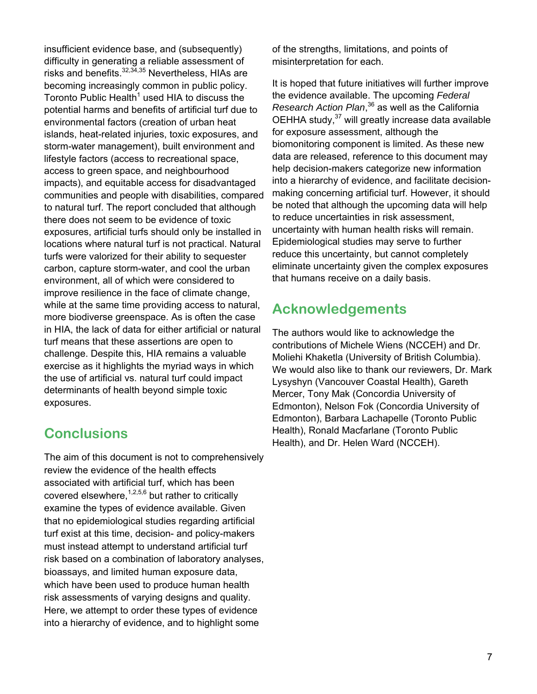insufficient evidence base, and (subsequently) difficulty in generating a reliable assessment of risks and benefits. $32,34,35$  Nevertheless, HIAs are becoming increasingly common in public policy. Toronto Public Health<sup>1</sup> used HIA to discuss the potential harms and benefits of artificial turf due to environmental factors (creation of urban heat islands, heat-related injuries, toxic exposures, and storm-water management), built environment and lifestyle factors (access to recreational space, access to green space, and neighbourhood impacts), and equitable access for disadvantaged communities and people with disabilities, compared to natural turf. The report concluded that although there does not seem to be evidence of toxic exposures, artificial turfs should only be installed in locations where natural turf is not practical. Natural turfs were valorized for their ability to sequester carbon, capture storm-water, and cool the urban environment, all of which were considered to improve resilience in the face of climate change, while at the same time providing access to natural, more biodiverse greenspace. As is often the case in HIA, the lack of data for either artificial or natural turf means that these assertions are open to challenge. Despite this, HIA remains a valuable exercise as it highlights the myriad ways in which the use of artificial vs. natural turf could impact determinants of health beyond simple toxic exposures.

## **Conclusions**

The aim of this document is not to comprehensively review the evidence of the health effects associated with artificial turf, which has been covered elsewhere,  $1,2,5,6$  but rather to critically examine the types of evidence available. Given that no epidemiological studies regarding artificial turf exist at this time, decision- and policy-makers must instead attempt to understand artificial turf risk based on a combination of laboratory analyses, bioassays, and limited human exposure data, which have been used to produce human health risk assessments of varying designs and quality. Here, we attempt to order these types of evidence into a hierarchy of evidence, and to highlight some

of the strengths, limitations, and points of misinterpretation for each.

It is hoped that future initiatives will further improve the evidence available. The upcoming *Federal Research Action Plan*, 36 as well as the California OEHHA study,<sup>37</sup> will greatly increase data available for exposure assessment, although the biomonitoring component is limited. As these new data are released, reference to this document may help decision-makers categorize new information into a hierarchy of evidence, and facilitate decisionmaking concerning artificial turf. However, it should be noted that although the upcoming data will help to reduce uncertainties in risk assessment, uncertainty with human health risks will remain. Epidemiological studies may serve to further reduce this uncertainty, but cannot completely eliminate uncertainty given the complex exposures that humans receive on a daily basis.

## **Acknowledgements**

The authors would like to acknowledge the contributions of Michele Wiens (NCCEH) and Dr. Moliehi Khaketla (University of British Columbia). We would also like to thank our reviewers, Dr. Mark Lysyshyn (Vancouver Coastal Health), Gareth Mercer, Tony Mak (Concordia University of Edmonton), Nelson Fok (Concordia University of Edmonton), Barbara Lachapelle (Toronto Public Health), Ronald Macfarlane (Toronto Public Health), and Dr. Helen Ward (NCCEH).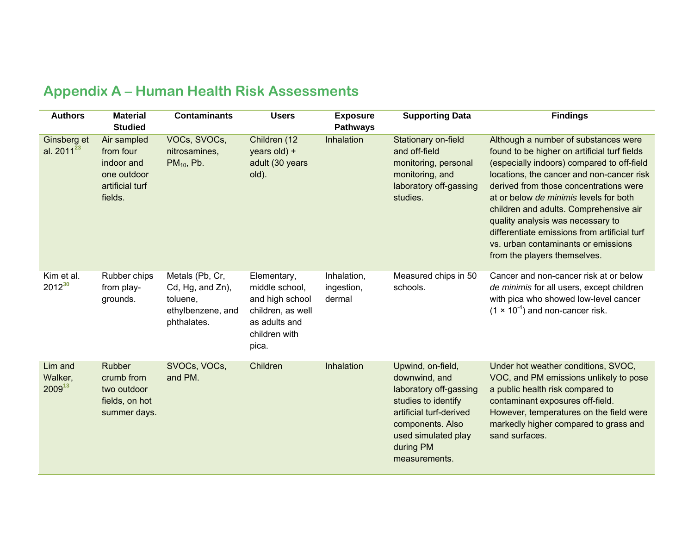| <b>Authors</b>                    | <b>Material</b><br><b>Studied</b>                                                   | <b>Contaminants</b>                                                                 | <b>Users</b>                                                                                                     | <b>Exposure</b><br><b>Pathways</b>  | <b>Supporting Data</b>                                                                                                                                                                  | <b>Findings</b>                                                                                                                                                                                                                                                                                                                                                                                                                                                           |
|-----------------------------------|-------------------------------------------------------------------------------------|-------------------------------------------------------------------------------------|------------------------------------------------------------------------------------------------------------------|-------------------------------------|-----------------------------------------------------------------------------------------------------------------------------------------------------------------------------------------|---------------------------------------------------------------------------------------------------------------------------------------------------------------------------------------------------------------------------------------------------------------------------------------------------------------------------------------------------------------------------------------------------------------------------------------------------------------------------|
| Ginsberg et<br>al. $2011^{23}$    | Air sampled<br>from four<br>indoor and<br>one outdoor<br>artificial turf<br>fields. | VOCs, SVOCs,<br>nitrosamines.<br>$PM10$ , Pb.                                       | Children (12<br>years old) +<br>adult (30 years<br>old).                                                         | Inhalation                          | Stationary on-field<br>and off-field<br>monitoring, personal<br>monitoring, and<br>laboratory off-gassing<br>studies.                                                                   | Although a number of substances were<br>found to be higher on artificial turf fields<br>(especially indoors) compared to off-field<br>locations, the cancer and non-cancer risk<br>derived from those concentrations were<br>at or below de minimis levels for both<br>children and adults. Comprehensive air<br>quality analysis was necessary to<br>differentiate emissions from artificial turf<br>vs. urban contaminants or emissions<br>from the players themselves. |
| Kim et al.<br>$2012^{30}$         | Rubber chips<br>from play-<br>grounds.                                              | Metals (Pb, Cr,<br>Cd, Hg, and Zn),<br>toluene,<br>ethylbenzene, and<br>phthalates. | Elementary,<br>middle school,<br>and high school<br>children, as well<br>as adults and<br>children with<br>pica. | Inhalation,<br>ingestion,<br>dermal | Measured chips in 50<br>schools.                                                                                                                                                        | Cancer and non-cancer risk at or below<br>de minimis for all users, except children<br>with pica who showed low-level cancer<br>$(1 \times 10^{-4})$ and non-cancer risk.                                                                                                                                                                                                                                                                                                 |
| Lim and<br>Walker,<br>$2009^{13}$ | <b>Rubber</b><br>crumb from<br>two outdoor<br>fields, on hot<br>summer days.        | SVOCs, VOCs,<br>and PM.                                                             | Children                                                                                                         | Inhalation                          | Upwind, on-field,<br>downwind, and<br>laboratory off-gassing<br>studies to identify<br>artificial turf-derived<br>components. Also<br>used simulated play<br>during PM<br>measurements. | Under hot weather conditions, SVOC,<br>VOC, and PM emissions unlikely to pose<br>a public health risk compared to<br>contaminant exposures off-field.<br>However, temperatures on the field were<br>markedly higher compared to grass and<br>sand surfaces.                                                                                                                                                                                                               |

# **Appendix A – Human Health Risk Assessments**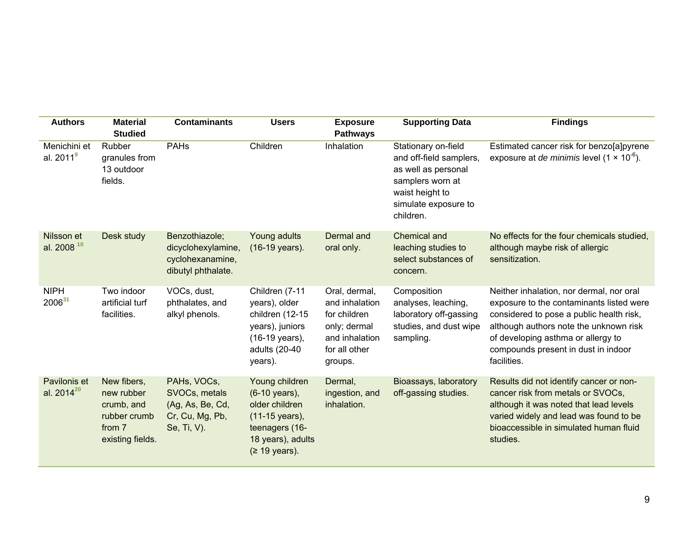| <b>Authors</b>                       | <b>Material</b><br><b>Studied</b>                                                     | <b>Contaminants</b>                                                                | <b>Users</b>                                                                                                                | <b>Exposure</b><br><b>Pathways</b>                                                                            | <b>Supporting Data</b>                                                                                                                            | <b>Findings</b>                                                                                                                                                                                                                                                        |
|--------------------------------------|---------------------------------------------------------------------------------------|------------------------------------------------------------------------------------|-----------------------------------------------------------------------------------------------------------------------------|---------------------------------------------------------------------------------------------------------------|---------------------------------------------------------------------------------------------------------------------------------------------------|------------------------------------------------------------------------------------------------------------------------------------------------------------------------------------------------------------------------------------------------------------------------|
| Menichini et<br>al. $2011^9$         | Rubber<br>granules from<br>13 outdoor<br>fields.                                      | <b>PAHs</b>                                                                        | Children                                                                                                                    | Inhalation                                                                                                    | Stationary on-field<br>and off-field samplers,<br>as well as personal<br>samplers worn at<br>waist height to<br>simulate exposure to<br>children. | Estimated cancer risk for benzo[a]pyrene<br>exposure at <i>de minimis</i> level $(1 \times 10^{-6})$ .                                                                                                                                                                 |
| Nilsson et<br>al. 2008 <sup>10</sup> | Desk study                                                                            | Benzothiazole;<br>dicyclohexylamine,<br>cyclohexanamine,<br>dibutyl phthalate.     | Young adults<br>(16-19 years).                                                                                              | Dermal and<br>oral only.                                                                                      | Chemical and<br>leaching studies to<br>select substances of<br>concern.                                                                           | No effects for the four chemicals studied,<br>although maybe risk of allergic<br>sensitization.                                                                                                                                                                        |
| <b>NIPH</b><br>$2006^{31}$           | Two indoor<br>artificial turf<br>facilities.                                          | VOCs, dust,<br>phthalates, and<br>alkyl phenols.                                   | Children (7-11<br>years), older<br>children (12-15<br>years), juniors<br>(16-19 years),<br>adults (20-40<br>years).         | Oral, dermal,<br>and inhalation<br>for children<br>only; dermal<br>and inhalation<br>for all other<br>groups. | Composition<br>analyses, leaching,<br>laboratory off-gassing<br>studies, and dust wipe<br>sampling.                                               | Neither inhalation, nor dermal, nor oral<br>exposure to the contaminants listed were<br>considered to pose a public health risk,<br>although authors note the unknown risk<br>of developing asthma or allergy to<br>compounds present in dust in indoor<br>facilities. |
| Pavilonis et<br>al. $2014^{20}$      | New fibers,<br>new rubber<br>crumb, and<br>rubber crumb<br>from 7<br>existing fields. | PAHs, VOCs,<br>SVOCs, metals<br>(Ag, As, Be, Cd,<br>Cr, Cu, Mg, Pb,<br>Se, Ti, V). | Young children<br>(6-10 years),<br>older children<br>(11-15 years),<br>teenagers (16-<br>18 years), adults<br>(≥ 19 years). | Dermal,<br>ingestion, and<br>inhalation.                                                                      | Bioassays, laboratory<br>off-gassing studies.                                                                                                     | Results did not identify cancer or non-<br>cancer risk from metals or SVOCs,<br>although it was noted that lead levels<br>varied widely and lead was found to be<br>bioaccessible in simulated human fluid<br>studies.                                                 |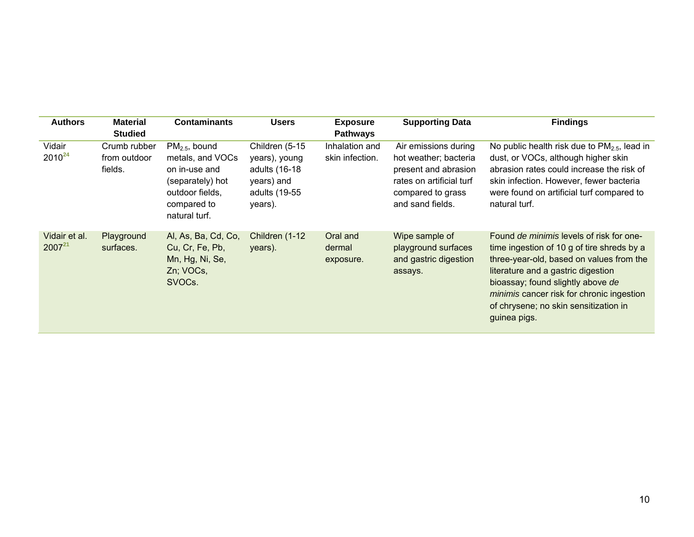| <b>Authors</b>               | <b>Material</b><br><b>Studied</b>       | <b>Contaminants</b>                                                                                                         | <b>Users</b>                                                                               | <b>Exposure</b><br><b>Pathways</b> | <b>Supporting Data</b>                                                                                                                     | <b>Findings</b>                                                                                                                                                                                                                                                                                                                   |
|------------------------------|-----------------------------------------|-----------------------------------------------------------------------------------------------------------------------------|--------------------------------------------------------------------------------------------|------------------------------------|--------------------------------------------------------------------------------------------------------------------------------------------|-----------------------------------------------------------------------------------------------------------------------------------------------------------------------------------------------------------------------------------------------------------------------------------------------------------------------------------|
| Vidair<br>$2010^{24}$        | Crumb rubber<br>from outdoor<br>fields. | $PM2.5$ , bound<br>metals, and VOCs<br>on in-use and<br>(separately) hot<br>outdoor fields,<br>compared to<br>natural turf. | Children (5-15<br>years), young<br>adults (16-18<br>years) and<br>adults (19-55<br>years). | Inhalation and<br>skin infection.  | Air emissions during<br>hot weather; bacteria<br>present and abrasion<br>rates on artificial turf<br>compared to grass<br>and sand fields. | No public health risk due to $PM2.5$ , lead in<br>dust, or VOCs, although higher skin<br>abrasion rates could increase the risk of<br>skin infection. However, fewer bacteria<br>were found on artificial turf compared to<br>natural turf.                                                                                       |
| Vidair et al.<br>$2007^{21}$ | Playground<br>surfaces.                 | Al, As, Ba, Cd, Co,<br>Cu, Cr, Fe, Pb,<br>Mn, Hg, Ni, Se,<br>Zn; VOCs,<br>SVOC <sub>s</sub> .                               | Children (1-12)<br>years).                                                                 | Oral and<br>dermal<br>exposure.    | Wipe sample of<br>playground surfaces<br>and gastric digestion<br>assays.                                                                  | Found <i>de minimis</i> levels of risk for one-<br>time ingestion of 10 g of tire shreds by a<br>three-year-old, based on values from the<br>literature and a gastric digestion<br>bioassay; found slightly above de<br><i>minimis</i> cancer risk for chronic ingestion<br>of chrysene; no skin sensitization in<br>guinea pigs. |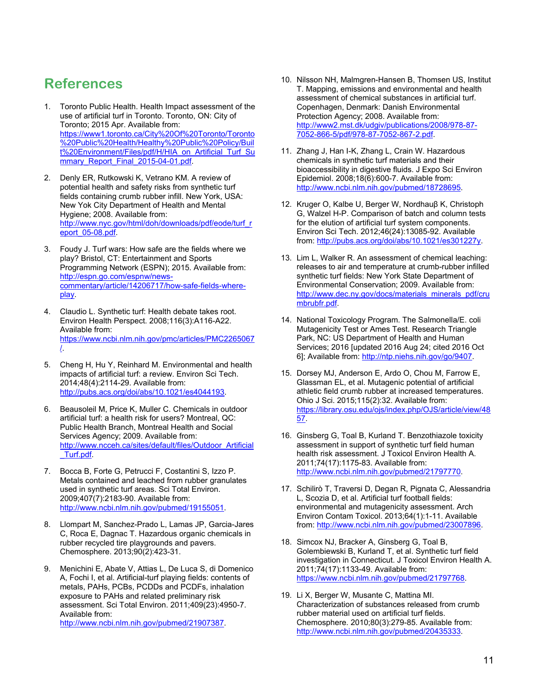## **References**

- 1. Toronto Public Health. Health Impact assessment of the use of artificial turf in Toronto. Toronto, ON: City of Toronto; 2015 Apr. Available from: https://www1.toronto.ca/City%20Of%20Toronto/Toronto %20Public%20Health/Healthy%20Public%20Policy/Buil t%20Environment/Files/pdf/H/HIA\_on\_Artificial\_Turf\_Su mmary Report Final 2015-04-01.pdf.
- 2. Denly ER, Rutkowski K, Vetrano KM. A review of potential health and safety risks from synthetic turf fields containing crumb rubber infill. New York, USA: New Yok City Department of Health and Mental Hygiene; 2008. Available from: http://www.nyc.gov/html/doh/downloads/pdf/eode/turf\_r eport\_05-08.pdf.
- 3. Foudy J. Turf wars: How safe are the fields where we play? Bristol, CT: Entertainment and Sports Programming Network (ESPN); 2015. Available from: http://espn.go.com/espnw/newscommentary/article/14206717/how-safe-fields-whereplay.
- 4. Claudio L. Synthetic turf: Health debate takes root. Environ Health Perspect. 2008;116(3):A116-A22. Available from: https://www.ncbi.nlm.nih.gov/pmc/articles/PMC2265067 /.
- 5. Cheng H, Hu Y, Reinhard M. Environmental and health impacts of artificial turf: a review. Environ Sci Tech. 2014;48(4):2114-29. Available from: http://pubs.acs.org/doi/abs/10.1021/es4044193.
- 6. Beausoleil M, Price K, Muller C. Chemicals in outdoor artificial turf: a health risk for users? Montreal, QC: Public Health Branch, Montreal Health and Social Services Agency; 2009. Available from: http://www.ncceh.ca/sites/default/files/Outdoor\_Artificial \_Turf.pdf.
- 7. Bocca B, Forte G, Petrucci F, Costantini S, Izzo P. Metals contained and leached from rubber granulates used in synthetic turf areas. Sci Total Environ. 2009;407(7):2183-90. Available from: http://www.ncbi.nlm.nih.gov/pubmed/19155051.
- 8. Llompart M, Sanchez-Prado L, Lamas JP, Garcia-Jares C, Roca E, Dagnac T. Hazardous organic chemicals in rubber recycled tire playgrounds and pavers. Chemosphere. 2013;90(2):423-31.
- 9. Menichini E, Abate V, Attias L, De Luca S, di Domenico A, Fochi I, et al. Artificial-turf playing fields: contents of metals, PAHs, PCBs, PCDDs and PCDFs, inhalation exposure to PAHs and related preliminary risk assessment. Sci Total Environ. 2011;409(23):4950-7. Available from: http://www.ncbi.nlm.nih.gov/pubmed/21907387.
- 10. Nilsson NH, Malmgren-Hansen B, Thomsen US, Institut T. Mapping, emissions and environmental and health assessment of chemical substances in artificial turf. Copenhagen, Denmark: Danish Environmental Protection Agency; 2008. Available from: http://www2.mst.dk/udgiv/publications/2008/978-87- 7052-866-5/pdf/978-87-7052-867-2.pdf.
- 11. Zhang J, Han I-K, Zhang L, Crain W. Hazardous chemicals in synthetic turf materials and their bioaccessibility in digestive fluids. J Expo Sci Environ Epidemiol. 2008;18(6):600-7. Available from: http://www.ncbi.nlm.nih.gov/pubmed/18728695.
- 12. Kruger O, Kalbe U, Berger W, Nordhauβ K, Christoph G, Walzel H-P. Comparison of batch and column tests for the elution of artificial turf system components. Environ Sci Tech. 2012;46(24):13085-92. Available from: http://pubs.acs.org/doi/abs/10.1021/es301227y.
- 13. Lim L, Walker R. An assessment of chemical leaching: releases to air and temperature at crumb-rubber infilled synthetic turf fields: New York State Department of Environmental Conservation; 2009. Available from: http://www.dec.ny.gov/docs/materials\_minerals\_pdf/cru mbrubfr.pdf.
- 14. National Toxicology Program. The Salmonella/E. coli Mutagenicity Test or Ames Test. Research Triangle Park, NC: US Department of Health and Human Services; 2016 [updated 2016 Aug 24; cited 2016 Oct 6]; Available from: http://ntp.niehs.nih.gov/go/9407.
- 15. Dorsey MJ, Anderson E, Ardo O, Chou M, Farrow E, Glassman EL, et al. Mutagenic potential of artificial athletic field crumb rubber at increased temperatures. Ohio J Sci. 2015;115(2):32. Available from: https://library.osu.edu/ojs/index.php/OJS/article/view/48 57.
- 16. Ginsberg G, Toal B, Kurland T. Benzothiazole toxicity assessment in support of synthetic turf field human health risk assessment. J Toxicol Environ Health A. 2011;74(17):1175-83. Available from: http://www.ncbi.nlm.nih.gov/pubmed/21797770.
- 17. Schilirò T, Traversi D, Degan R, Pignata C, Alessandria L, Scozia D, et al. Artificial turf football fields: environmental and mutagenicity assessment. Arch Environ Contam Toxicol. 2013;64(1):1-11. Available from: http://www.ncbi.nlm.nih.gov/pubmed/23007896.
- 18. Simcox NJ, Bracker A, Ginsberg G, Toal B, Golembiewski B, Kurland T, et al. Synthetic turf field investigation in Connecticut. J Toxicol Environ Health A. 2011;74(17):1133-49. Available from: https://www.ncbi.nlm.nih.gov/pubmed/21797768.
- 19. Li X, Berger W, Musante C, Mattina MI. Characterization of substances released from crumb rubber material used on artificial turf fields. Chemosphere. 2010;80(3):279-85. Available from: http://www.ncbi.nlm.nih.gov/pubmed/20435333.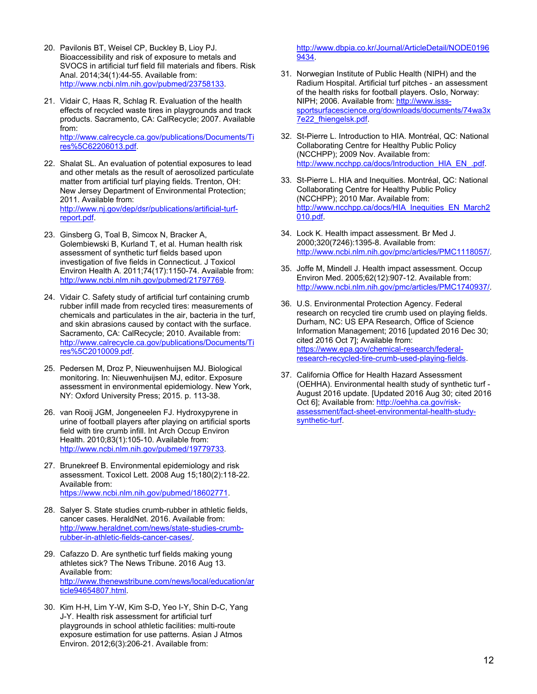- 20. Pavilonis BT, Weisel CP, Buckley B, Lioy PJ. Bioaccessibility and risk of exposure to metals and SVOCS in artificial turf field fill materials and fibers. Risk Anal. 2014;34(1):44-55. Available from: http://www.ncbi.nlm.nih.gov/pubmed/23758133.
- 21. Vidair C, Haas R, Schlag R. Evaluation of the health effects of recycled waste tires in playgrounds and track products. Sacramento, CA: CalRecycle; 2007. Available from: http://www.calrecycle.ca.gov/publications/Documents/Ti res%5C62206013.pdf.
- 22. Shalat SL. An evaluation of potential exposures to lead and other metals as the result of aerosolized particulate matter from artificial turf playing fields. Trenton, OH: New Jersey Department of Environmental Protection; 2011. Available from: http://www.nj.gov/dep/dsr/publications/artificial-turfreport.pdf.
- 23. Ginsberg G, Toal B, Simcox N, Bracker A, Golembiewski B, Kurland T, et al. Human health risk assessment of synthetic turf fields based upon investigation of five fields in Connecticut. J Toxicol Environ Health A. 2011;74(17):1150-74. Available from: http://www.ncbi.nlm.nih.gov/pubmed/21797769.
- 24. Vidair C. Safety study of artificial turf containing crumb rubber infill made from recycled tires: measurements of chemicals and particulates in the air, bacteria in the turf, and skin abrasions caused by contact with the surface. Sacramento, CA: CalRecycle; 2010. Available from: http://www.calrecycle.ca.gov/publications/Documents/Ti res%5C2010009.pdf.
- 25. Pedersen M, Droz P, Nieuwenhuijsen MJ. Biological monitoring. In: Nieuwenhuijsen MJ, editor. Exposure assessment in environmental epidemiology. New York, NY: Oxford University Press; 2015. p. 113-38.
- 26. van Rooij JGM, Jongeneelen FJ. Hydroxypyrene in urine of football players after playing on artificial sports field with tire crumb infill. Int Arch Occup Environ Health. 2010;83(1):105-10. Available from: http://www.ncbi.nlm.nih.gov/pubmed/19779733.
- 27. Brunekreef B. Environmental epidemiology and risk assessment. Toxicol Lett. 2008 Aug 15;180(2):118-22. Available from: https://www.ncbi.nlm.nih.gov/pubmed/18602771.
- 28. Salyer S. State studies crumb-rubber in athletic fields, cancer cases. HeraldNet. 2016. Available from: http://www.heraldnet.com/news/state-studies-crumbrubber-in-athletic-fields-cancer-cases/.
- 29. Cafazzo D. Are synthetic turf fields making young athletes sick? The News Tribune. 2016 Aug 13. Available from: http://www.thenewstribune.com/news/local/education/ar ticle94654807.html.
- 30. Kim H-H, Lim Y-W, Kim S-D, Yeo I-Y, Shin D-C, Yang J-Y. Health risk assessment for artificial turf playgrounds in school athletic facilities: multi-route exposure estimation for use patterns. Asian J Atmos Environ. 2012;6(3):206-21. Available from:

http://www.dbpia.co.kr/Journal/ArticleDetail/NODE0196 9434.

- 31. Norwegian Institute of Public Health (NIPH) and the Radium Hospital. Artificial turf pitches - an assessment of the health risks for football players. Oslo, Norway: NIPH; 2006. Available from: http://www.issssportsurfacescience.org/downloads/documents/74wa3x 7e22\_fhiengelsk.pdf.
- 32. St-Pierre L. Introduction to HIA. Montréal, QC: National Collaborating Centre for Healthy Public Policy (NCCHPP); 2009 Nov. Available from: http://www.ncchpp.ca/docs/Introduction\_HIA\_EN\_.pdf.
- 33. St-Pierre L. HIA and Inequities. Montréal, QC: National Collaborating Centre for Healthy Public Policy (NCCHPP); 2010 Mar. Available from: http://www.ncchpp.ca/docs/HIA\_Inequities\_EN\_March2 010.pdf.
- 34. Lock K. Health impact assessment. Br Med J. 2000;320(7246):1395-8. Available from: http://www.ncbi.nlm.nih.gov/pmc/articles/PMC1118057/.
- 35. Joffe M, Mindell J. Health impact assessment. Occup Environ Med. 2005;62(12):907-12. Available from: http://www.ncbi.nlm.nih.gov/pmc/articles/PMC1740937/.
- 36. U.S. Environmental Protection Agency. Federal research on recycled tire crumb used on playing fields. Durham, NC: US EPA Research, Office of Science Information Management; 2016 [updated 2016 Dec 30; cited 2016 Oct 7]; Available from: https://www.epa.gov/chemical-research/federalresearch-recycled-tire-crumb-used-playing-fields.
- 37. California Office for Health Hazard Assessment (OEHHA). Environmental health study of synthetic turf - August 2016 update. [Updated 2016 Aug 30; cited 2016 Oct 6]; Available from: http://oehha.ca.gov/riskassessment/fact-sheet-environmental-health-studysynthetic-turf.